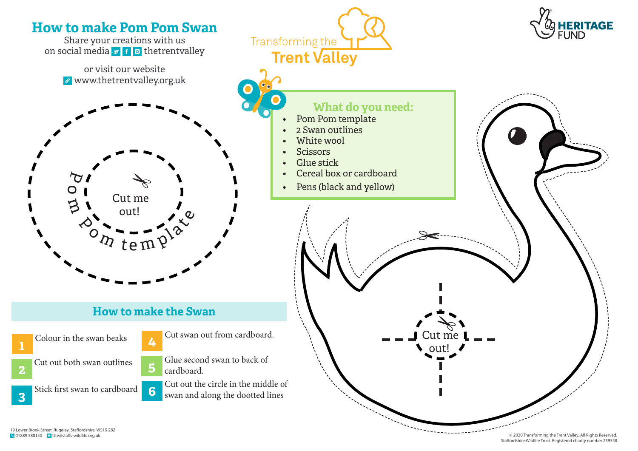

© 2020 Transforming the Trent Valley. All Rights Reserved. Staffordshire Wildlife Trust. Registered charity number 259558